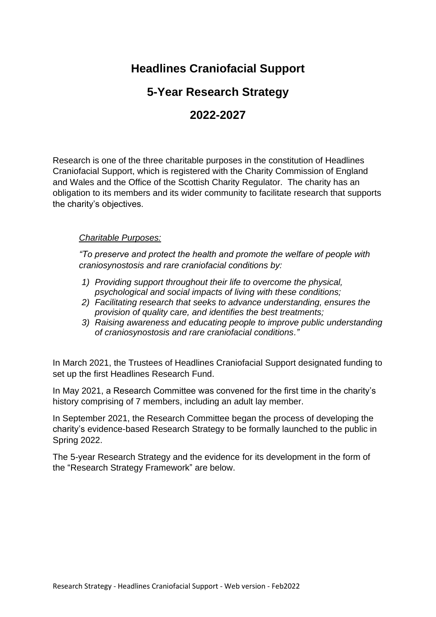# **Headlines Craniofacial Support**

## **5-Year Research Strategy**

# **2022-2027**

Research is one of the three charitable purposes in the constitution of Headlines Craniofacial Support, which is registered with the Charity Commission of England and Wales and the Office of the Scottish Charity Regulator. The charity has an obligation to its members and its wider community to facilitate research that supports the charity's objectives.

### *Charitable Purposes:*

*"To preserve and protect the health and promote the welfare of people with craniosynostosis and rare craniofacial conditions by:*

- *1) Providing support throughout their life to overcome the physical, psychological and social impacts of living with these conditions;*
- *2) Facilitating research that seeks to advance understanding, ensures the provision of quality care, and identifies the best treatments;*
- *3) Raising awareness and educating people to improve public understanding of craniosynostosis and rare craniofacial conditions."*

In March 2021, the Trustees of Headlines Craniofacial Support designated funding to set up the first Headlines Research Fund.

In May 2021, a Research Committee was convened for the first time in the charity's history comprising of 7 members, including an adult lay member.

In September 2021, the Research Committee began the process of developing the charity's evidence-based Research Strategy to be formally launched to the public in Spring 2022.

The 5-year Research Strategy and the evidence for its development in the form of the "Research Strategy Framework" are below.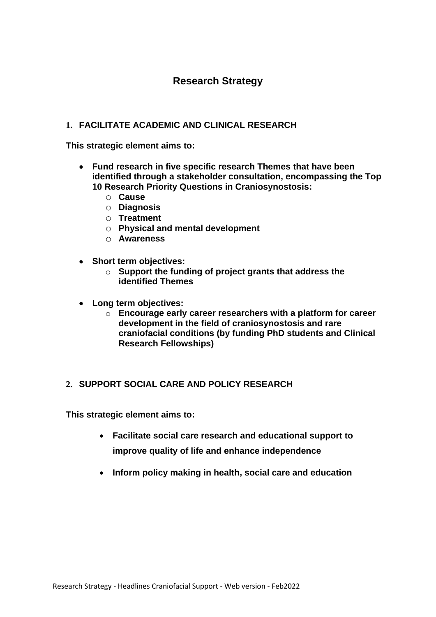## **Research Strategy**

### **1. FACILITATE ACADEMIC AND CLINICAL RESEARCH**

**This strategic element aims to:**

- **Fund research in five specific research Themes that have been identified through a stakeholder consultation, encompassing the Top 10 Research Priority Questions in Craniosynostosis:**
	- o **Cause**
	- o **Diagnosis**
	- o **Treatment**
	- o **Physical and mental development**
	- o **Awareness**
- **Short term objectives:**
	- o **Support the funding of project grants that address the identified Themes**
- **Long term objectives:**
	- o **Encourage early career researchers with a platform for career development in the field of craniosynostosis and rare craniofacial conditions (by funding PhD students and Clinical Research Fellowships)**

#### **2. SUPPORT SOCIAL CARE AND POLICY RESEARCH**

**This strategic element aims to:**

- **Facilitate social care research and educational support to improve quality of life and enhance independence**
- **Inform policy making in health, social care and education**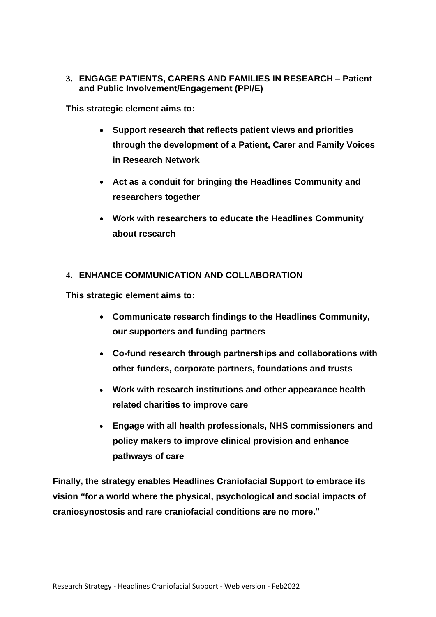**3. ENGAGE PATIENTS, CARERS AND FAMILIES IN RESEARCH – Patient and Public Involvement/Engagement (PPI/E)**

**This strategic element aims to:**

- **Support research that reflects patient views and priorities through the development of a Patient, Carer and Family Voices in Research Network**
- **Act as a conduit for bringing the Headlines Community and researchers together**
- **Work with researchers to educate the Headlines Community about research**

#### **4. ENHANCE COMMUNICATION AND COLLABORATION**

**This strategic element aims to:**

- **Communicate research findings to the Headlines Community, our supporters and funding partners**
- **Co-fund research through partnerships and collaborations with other funders, corporate partners, foundations and trusts**
- **Work with research institutions and other appearance health related charities to improve care**
- **Engage with all health professionals, NHS commissioners and policy makers to improve clinical provision and enhance pathways of care**

**Finally, the strategy enables Headlines Craniofacial Support to embrace its vision "for a world where the physical, psychological and social impacts of craniosynostosis and rare craniofacial conditions are no more."**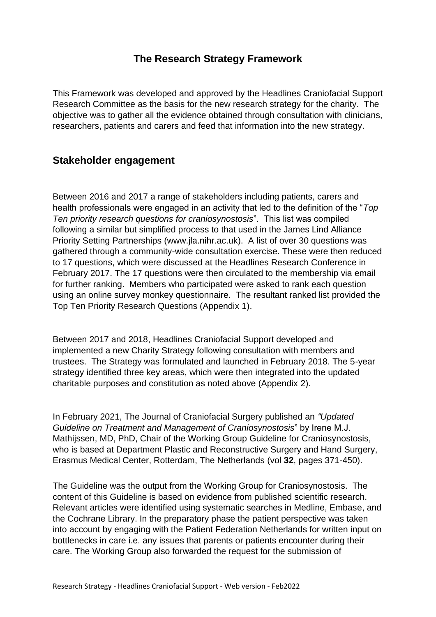## **The Research Strategy Framework**

This Framework was developed and approved by the Headlines Craniofacial Support Research Committee as the basis for the new research strategy for the charity. The objective was to gather all the evidence obtained through consultation with clinicians, researchers, patients and carers and feed that information into the new strategy.

## **Stakeholder engagement**

Between 2016 and 2017 a range of stakeholders including patients, carers and health professionals were engaged in an activity that led to the definition of the "*Top Ten priority research questions for craniosynostosis*". This list was compiled following a similar but simplified process to that used in the James Lind Alliance Priority Setting Partnerships (www.jla.nihr.ac.uk). A list of over 30 questions was gathered through a community-wide consultation exercise. These were then reduced to 17 questions, which were discussed at the Headlines Research Conference in February 2017. The 17 questions were then circulated to the membership via email for further ranking. Members who participated were asked to rank each question using an online survey monkey questionnaire. The resultant ranked list provided the Top Ten Priority Research Questions (Appendix 1).

Between 2017 and 2018, Headlines Craniofacial Support developed and implemented a new Charity Strategy following consultation with members and trustees. The Strategy was formulated and launched in February 2018. The 5-year strategy identified three key areas, which were then integrated into the updated charitable purposes and constitution as noted above (Appendix 2).

In February 2021, The Journal of Craniofacial Surgery published an *"Updated Guideline on Treatment and Management of Craniosynostosis*" by Irene M.J. Mathijssen, MD, PhD, Chair of the Working Group Guideline for Craniosynostosis, who is based at Department Plastic and Reconstructive Surgery and Hand Surgery, Erasmus Medical Center, Rotterdam, The Netherlands (vol **32**, pages 371-450).

The Guideline was the output from the Working Group for Craniosynostosis. The content of this Guideline is based on evidence from published scientific research. Relevant articles were identified using systematic searches in Medline, Embase, and the Cochrane Library. In the preparatory phase the patient perspective was taken into account by engaging with the Patient Federation Netherlands for written input on bottlenecks in care i.e. any issues that parents or patients encounter during their care. The Working Group also forwarded the request for the submission of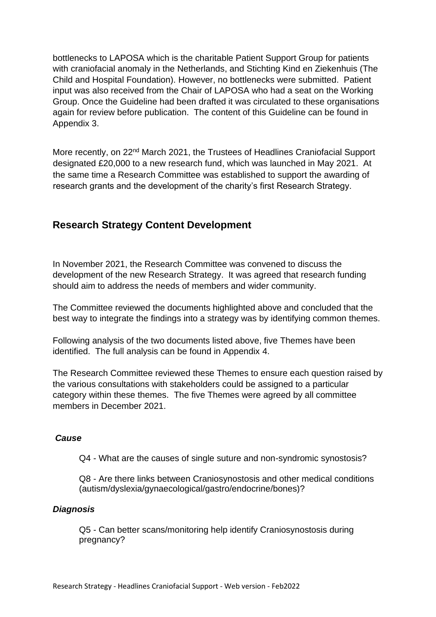bottlenecks to LAPOSA which is the charitable Patient Support Group for patients with craniofacial anomaly in the Netherlands, and Stichting Kind en Ziekenhuis (The Child and Hospital Foundation). However, no bottlenecks were submitted. Patient input was also received from the Chair of LAPOSA who had a seat on the Working Group. Once the Guideline had been drafted it was circulated to these organisations again for review before publication. The content of this Guideline can be found in Appendix 3.

More recently, on 22<sup>nd</sup> March 2021, the Trustees of Headlines Craniofacial Support designated £20,000 to a new research fund, which was launched in May 2021. At the same time a Research Committee was established to support the awarding of research grants and the development of the charity's first Research Strategy.

## **Research Strategy Content Development**

In November 2021, the Research Committee was convened to discuss the development of the new Research Strategy. It was agreed that research funding should aim to address the needs of members and wider community.

The Committee reviewed the documents highlighted above and concluded that the best way to integrate the findings into a strategy was by identifying common themes.

Following analysis of the two documents listed above, five Themes have been identified. The full analysis can be found in Appendix 4.

The Research Committee reviewed these Themes to ensure each question raised by the various consultations with stakeholders could be assigned to a particular category within these themes. The five Themes were agreed by all committee members in December 2021.

#### *Cause*

Q4 - What are the causes of single suture and non-syndromic synostosis?

Q8 - Are there links between Craniosynostosis and other medical conditions (autism/dyslexia/gynaecological/gastro/endocrine/bones)?

#### *Diagnosis*

Q5 - Can better scans/monitoring help identify Craniosynostosis during pregnancy?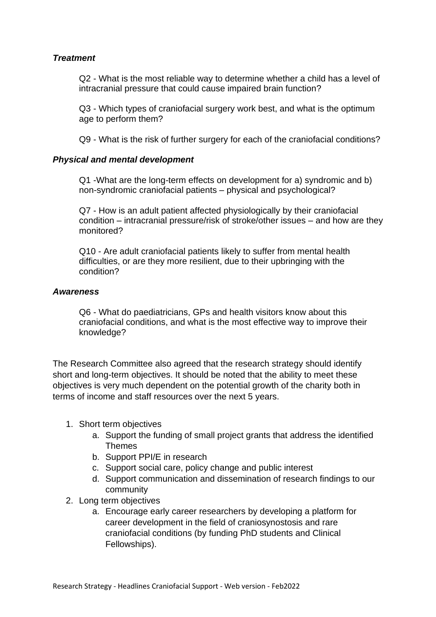### *Treatment*

Q2 - What is the most reliable way to determine whether a child has a level of intracranial pressure that could cause impaired brain function?

Q3 - Which types of craniofacial surgery work best, and what is the optimum age to perform them?

Q9 - What is the risk of further surgery for each of the craniofacial conditions?

#### *Physical and mental development*

Q1 -What are the long-term effects on development for a) syndromic and b) non-syndromic craniofacial patients – physical and psychological?

Q7 - How is an adult patient affected physiologically by their craniofacial condition – intracranial pressure/risk of stroke/other issues – and how are they monitored?

Q10 - Are adult craniofacial patients likely to suffer from mental health difficulties, or are they more resilient, due to their upbringing with the condition?

#### *Awareness*

Q6 - What do paediatricians, GPs and health visitors know about this craniofacial conditions, and what is the most effective way to improve their knowledge?

The Research Committee also agreed that the research strategy should identify short and long-term objectives. It should be noted that the ability to meet these objectives is very much dependent on the potential growth of the charity both in terms of income and staff resources over the next 5 years.

- 1. Short term objectives
	- a. Support the funding of small project grants that address the identified Themes
	- b. Support PPI/E in research
	- c. Support social care, policy change and public interest
	- d. Support communication and dissemination of research findings to our community
- 2. Long term objectives
	- a. Encourage early career researchers by developing a platform for career development in the field of craniosynostosis and rare craniofacial conditions (by funding PhD students and Clinical Fellowships).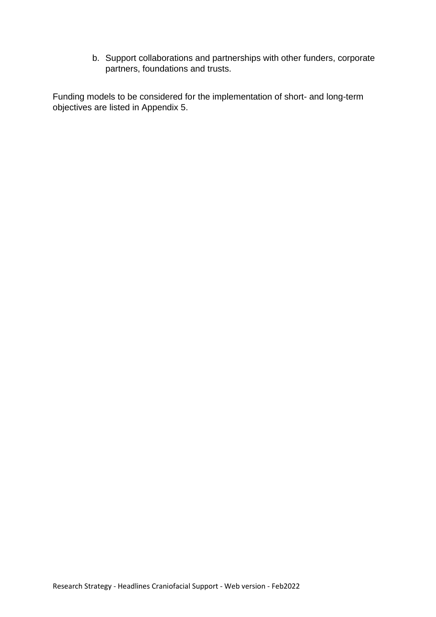b. Support collaborations and partnerships with other funders, corporate partners, foundations and trusts.

Funding models to be considered for the implementation of short- and long-term objectives are listed in Appendix 5.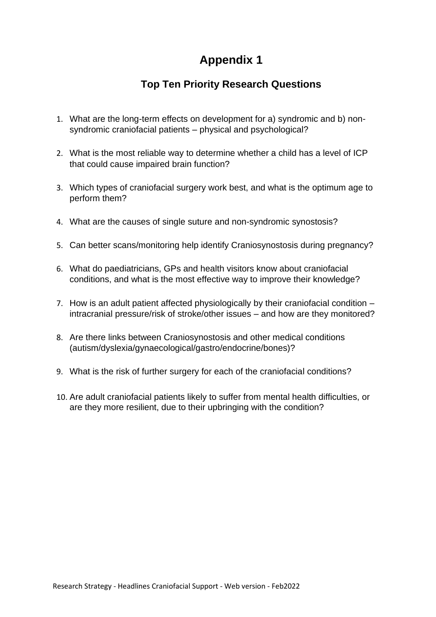## **Top Ten Priority Research Questions**

- 1. What are the long-term effects on development for a) syndromic and b) nonsyndromic craniofacial patients – physical and psychological?
- 2. What is the most reliable way to determine whether a child has a level of ICP that could cause impaired brain function?
- 3. Which types of craniofacial surgery work best, and what is the optimum age to perform them?
- 4. What are the causes of single suture and non-syndromic synostosis?
- 5. Can better scans/monitoring help identify Craniosynostosis during pregnancy?
- 6. What do paediatricians, GPs and health visitors know about craniofacial conditions, and what is the most effective way to improve their knowledge?
- 7. How is an adult patient affected physiologically by their craniofacial condition intracranial pressure/risk of stroke/other issues – and how are they monitored?
- 8. Are there links between Craniosynostosis and other medical conditions (autism/dyslexia/gynaecological/gastro/endocrine/bones)?
- 9. What is the risk of further surgery for each of the craniofacial conditions?
- 10. Are adult craniofacial patients likely to suffer from mental health difficulties, or are they more resilient, due to their upbringing with the condition?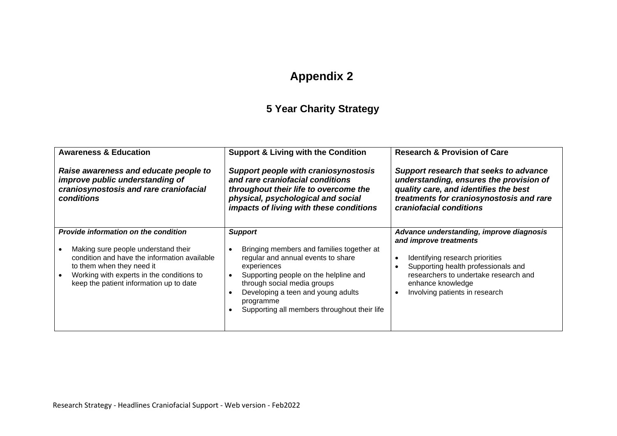# **5 Year Charity Strategy**

| <b>Awareness &amp; Education</b><br>Raise awareness and educate people to<br>improve public understanding of<br>craniosynostosis and rare craniofacial<br>conditions                                                                                    | <b>Support &amp; Living with the Condition</b><br><b>Support people with craniosynostosis</b><br>and rare craniofacial conditions<br>throughout their life to overcome the<br>physical, psychological and social<br>impacts of living with these conditions                                 | <b>Research &amp; Provision of Care</b><br>Support research that seeks to advance<br>understanding, ensures the provision of<br>quality care, and identifies the best<br>treatments for craniosynostosis and rare<br>craniofacial conditions                           |
|---------------------------------------------------------------------------------------------------------------------------------------------------------------------------------------------------------------------------------------------------------|---------------------------------------------------------------------------------------------------------------------------------------------------------------------------------------------------------------------------------------------------------------------------------------------|------------------------------------------------------------------------------------------------------------------------------------------------------------------------------------------------------------------------------------------------------------------------|
| <b>Provide information on the condition</b><br>Making sure people understand their<br>condition and have the information available<br>to them when they need it<br>Working with experts in the conditions to<br>keep the patient information up to date | <b>Support</b><br>Bringing members and families together at<br>regular and annual events to share<br>experiences<br>Supporting people on the helpline and<br>through social media groups<br>Developing a teen and young adults<br>programme<br>Supporting all members throughout their life | Advance understanding, improve diagnosis<br>and improve treatments<br>Identifying research priorities<br>$\bullet$<br>Supporting health professionals and<br>researchers to undertake research and<br>enhance knowledge<br>Involving patients in research<br>$\bullet$ |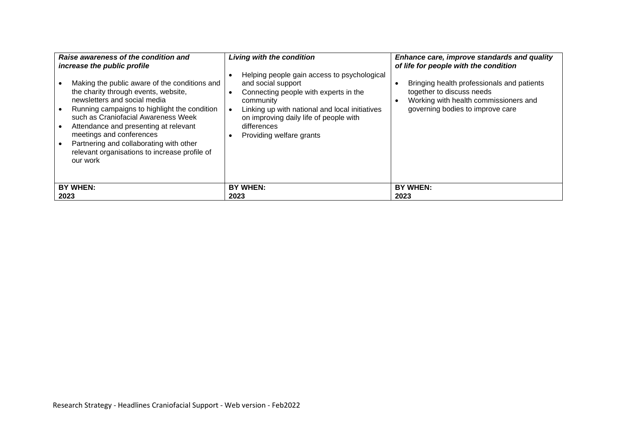| Raise awareness of the condition and<br>increase the public profile<br>Making the public aware of the conditions and<br>the charity through events, website,<br>newsletters and social media<br>Running campaigns to highlight the condition<br>such as Craniofacial Awareness Week<br>Attendance and presenting at relevant<br>meetings and conferences<br>Partnering and collaborating with other<br>relevant organisations to increase profile of<br>our work | <b>Living with the condition</b><br>Helping people gain access to psychological<br>and social support<br>Connecting people with experts in the<br>community<br>Linking up with national and local initiatives<br>on improving daily life of people with<br>differences<br>Providing welfare grants | Enhance care, improve standards and quality<br>of life for people with the condition<br>Bringing health professionals and patients<br>together to discuss needs<br>Working with health commissioners and<br>governing bodies to improve care |
|------------------------------------------------------------------------------------------------------------------------------------------------------------------------------------------------------------------------------------------------------------------------------------------------------------------------------------------------------------------------------------------------------------------------------------------------------------------|----------------------------------------------------------------------------------------------------------------------------------------------------------------------------------------------------------------------------------------------------------------------------------------------------|----------------------------------------------------------------------------------------------------------------------------------------------------------------------------------------------------------------------------------------------|
| BY WHEN:                                                                                                                                                                                                                                                                                                                                                                                                                                                         | <b>BY WHEN:</b>                                                                                                                                                                                                                                                                                    | BY WHEN:                                                                                                                                                                                                                                     |
| 2023                                                                                                                                                                                                                                                                                                                                                                                                                                                             | 2023                                                                                                                                                                                                                                                                                               | 2023                                                                                                                                                                                                                                         |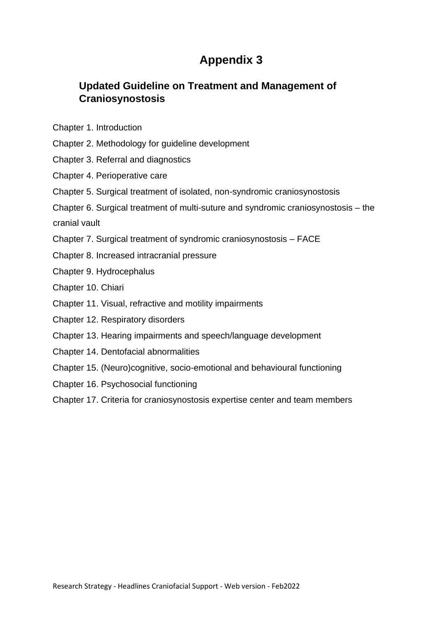## **Updated Guideline on Treatment and Management of Craniosynostosis**

- Chapter 1. Introduction
- Chapter 2. Methodology for guideline development
- Chapter 3. Referral and diagnostics
- Chapter 4. Perioperative care
- Chapter 5. Surgical treatment of isolated, non-syndromic craniosynostosis
- Chapter 6. Surgical treatment of multi-suture and syndromic craniosynostosis the

cranial vault

- Chapter 7. Surgical treatment of syndromic craniosynostosis FACE
- Chapter 8. Increased intracranial pressure
- Chapter 9. Hydrocephalus
- Chapter 10. Chiari
- Chapter 11. Visual, refractive and motility impairments
- Chapter 12. Respiratory disorders
- Chapter 13. Hearing impairments and speech/language development
- Chapter 14. Dentofacial abnormalities
- Chapter 15. (Neuro)cognitive, socio-emotional and behavioural functioning
- Chapter 16. Psychosocial functioning
- Chapter 17. Criteria for craniosynostosis expertise center and team members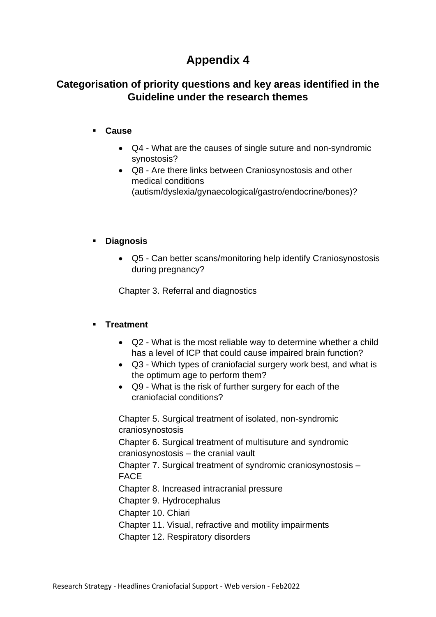## **Categorisation of priority questions and key areas identified in the Guideline under the research themes**

### ▪ **Cause**

- Q4 What are the causes of single suture and non-syndromic synostosis?
- Q8 Are there links between Craniosynostosis and other medical conditions (autism/dyslexia/gynaecological/gastro/endocrine/bones)?

### ▪ **Diagnosis**

• Q5 - Can better scans/monitoring help identify Craniosynostosis during pregnancy?

Chapter 3. Referral and diagnostics

### ▪ **Treatment**

- Q2 What is the most reliable way to determine whether a child has a level of ICP that could cause impaired brain function?
- Q3 Which types of craniofacial surgery work best, and what is the optimum age to perform them?
- Q9 What is the risk of further surgery for each of the craniofacial conditions?

Chapter 5. Surgical treatment of isolated, non-syndromic craniosynostosis

Chapter 6. Surgical treatment of multisuture and syndromic craniosynostosis – the cranial vault

Chapter 7. Surgical treatment of syndromic craniosynostosis – FACE

Chapter 8. Increased intracranial pressure

Chapter 9. Hydrocephalus

Chapter 10. Chiari

Chapter 11. Visual, refractive and motility impairments

Chapter 12. Respiratory disorders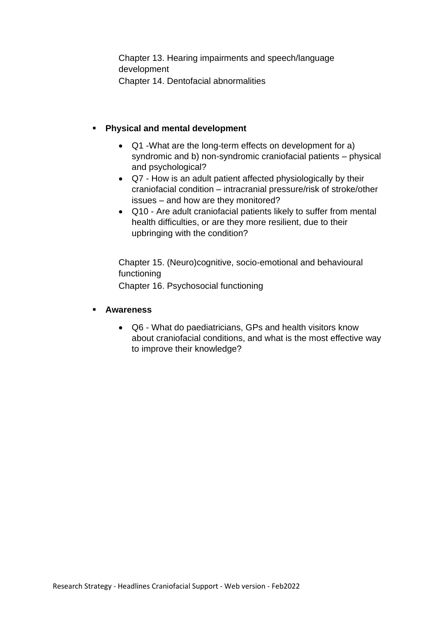Chapter 13. Hearing impairments and speech/language development Chapter 14. Dentofacial abnormalities

### **Physical and mental development**

- Q1 -What are the long-term effects on development for a) syndromic and b) non-syndromic craniofacial patients – physical and psychological?
- Q7 How is an adult patient affected physiologically by their craniofacial condition – intracranial pressure/risk of stroke/other issues – and how are they monitored?
- Q10 Are adult craniofacial patients likely to suffer from mental health difficulties, or are they more resilient, due to their upbringing with the condition?

Chapter 15. (Neuro)cognitive, socio-emotional and behavioural functioning Chapter 16. Psychosocial functioning

#### ▪ **Awareness**

• Q6 - What do paediatricians, GPs and health visitors know about craniofacial conditions, and what is the most effective way to improve their knowledge?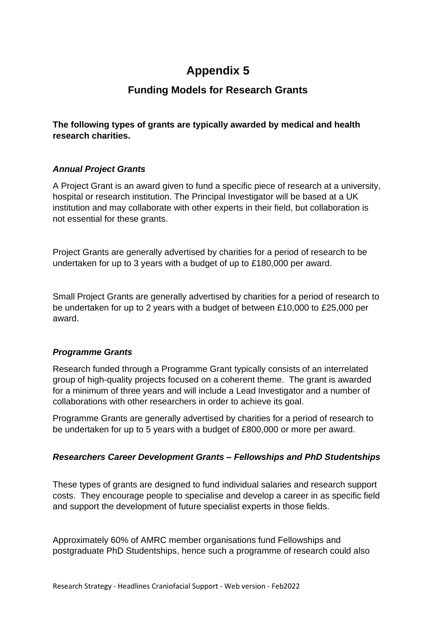## **Funding Models for Research Grants**

**The following types of grants are typically awarded by medical and health research charities.**

### *Annual Project Grants*

A Project Grant is an award given to fund a specific piece of research at a university, hospital or research institution. The Principal Investigator will be based at a UK institution and may collaborate with other experts in their field, but collaboration is not essential for these grants.

Project Grants are generally advertised by charities for a period of research to be undertaken for up to 3 years with a budget of up to £180,000 per award.

Small Project Grants are generally advertised by charities for a period of research to be undertaken for up to 2 years with a budget of between £10,000 to £25,000 per award.

### *Programme Grants*

Research funded through a Programme Grant typically consists of an interrelated group of high-quality projects focused on a coherent theme. The grant is awarded for a minimum of three years and will include a Lead Investigator and a number of collaborations with other researchers in order to achieve its goal.

Programme Grants are generally advertised by charities for a period of research to be undertaken for up to 5 years with a budget of £800,000 or more per award.

### *Researchers Career Development Grants – Fellowships and PhD Studentships*

These types of grants are designed to fund individual salaries and research support costs. They encourage people to specialise and develop a career in as specific field and support the development of future specialist experts in those fields.

Approximately 60% of AMRC member organisations fund Fellowships and postgraduate PhD Studentships, hence such a programme of research could also